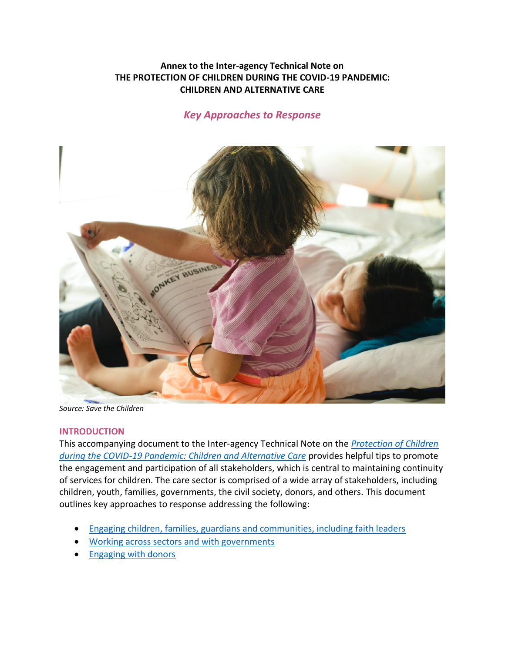## **Annex to the Inter-agency Technical Note on THE PROTECTION OF CHILDREN DURING THE COVID-19 PANDEMIC: CHILDREN AND ALTERNATIVE CARE**

# *Key Approaches to Response*



*Source: Save the Children*

#### **INTRODUCTION**

This accompanying document to the Inter-agency Technical Note on the *[Protection of Children](https://bettercarenetwork.org/library/particular-threats-to-childrens-care-and-protection/covid-19/alternative-care-and-covid-19/technical-note-on-the-protection-of-children-during-the-covid-19-pandemic-children-and-alternative)  [during the COVID-19 Pandemic: Children and Alternative Care](https://bettercarenetwork.org/library/particular-threats-to-childrens-care-and-protection/covid-19/alternative-care-and-covid-19/technical-note-on-the-protection-of-children-during-the-covid-19-pandemic-children-and-alternative)* provides helpful tips to promote the engagement and participation of all stakeholders, which is central to maintaining continuity of services for children. The care sector is comprised of a wide array of stakeholders, including children, youth, families, governments, the civil society, donors, and others. This document outlines key approaches to response addressing the following:

- [Engaging children, families, guardians and communities, including faith leaders](#page-0-0)
- [Working across sectors and with governments](#page-4-0)
- <span id="page-0-0"></span>• [Engaging with donors](#page-6-0)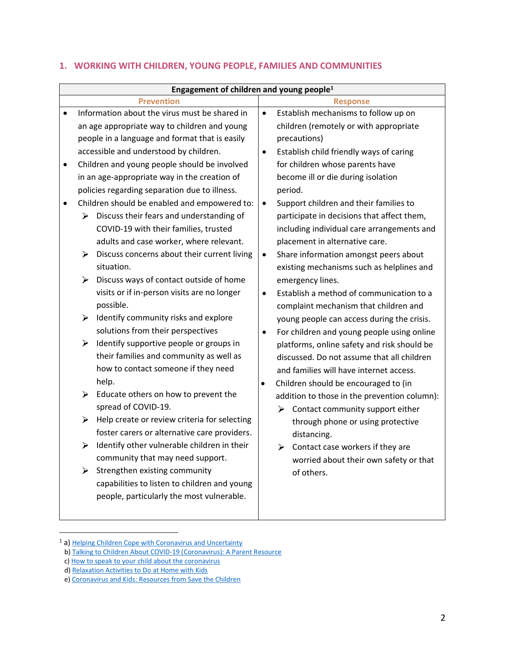| Engagement of children and young people <sup>1</sup> |                            |                                                                                                                                                                                                                                                                                                                                                                                                                                                                                                                                                                                                                                                                                                                                                                                                                                                                                                                                                                                  |                                                                                 |                                                                                                                                                                                                                                                                                                                                                                                                                                                                                                                                                                                                                                                                                                                                                                                                                                                                                                                                                                           |  |  |  |  |
|------------------------------------------------------|----------------------------|----------------------------------------------------------------------------------------------------------------------------------------------------------------------------------------------------------------------------------------------------------------------------------------------------------------------------------------------------------------------------------------------------------------------------------------------------------------------------------------------------------------------------------------------------------------------------------------------------------------------------------------------------------------------------------------------------------------------------------------------------------------------------------------------------------------------------------------------------------------------------------------------------------------------------------------------------------------------------------|---------------------------------------------------------------------------------|---------------------------------------------------------------------------------------------------------------------------------------------------------------------------------------------------------------------------------------------------------------------------------------------------------------------------------------------------------------------------------------------------------------------------------------------------------------------------------------------------------------------------------------------------------------------------------------------------------------------------------------------------------------------------------------------------------------------------------------------------------------------------------------------------------------------------------------------------------------------------------------------------------------------------------------------------------------------------|--|--|--|--|
| <b>Prevention</b>                                    |                            |                                                                                                                                                                                                                                                                                                                                                                                                                                                                                                                                                                                                                                                                                                                                                                                                                                                                                                                                                                                  | <b>Response</b>                                                                 |                                                                                                                                                                                                                                                                                                                                                                                                                                                                                                                                                                                                                                                                                                                                                                                                                                                                                                                                                                           |  |  |  |  |
| $\bullet$<br>$\bullet$                               | ➤<br>➤<br>➤<br>➤<br>≻<br>➤ | Information about the virus must be shared in<br>an age appropriate way to children and young<br>people in a language and format that is easily<br>accessible and understood by children.<br>Children and young people should be involved<br>in an age-appropriate way in the creation of<br>policies regarding separation due to illness.<br>Children should be enabled and empowered to:<br>Discuss their fears and understanding of<br>COVID-19 with their families, trusted<br>adults and case worker, where relevant.<br>Discuss concerns about their current living<br>situation.<br>Discuss ways of contact outside of home<br>visits or if in-person visits are no longer<br>possible.<br>Identify community risks and explore<br>solutions from their perspectives<br>Identify supportive people or groups in<br>their families and community as well as<br>how to contact someone if they need<br>help.<br>Educate others on how to prevent the<br>spread of COVID-19. | $\bullet$<br>$\bullet$<br>$\bullet$<br>$\bullet$<br>$\bullet$<br>٠<br>$\bullet$ | Establish mechanisms to follow up on<br>children (remotely or with appropriate<br>precautions)<br>Establish child friendly ways of caring<br>for children whose parents have<br>become ill or die during isolation<br>period.<br>Support children and their families to<br>participate in decisions that affect them,<br>including individual care arrangements and<br>placement in alternative care.<br>Share information amongst peers about<br>existing mechanisms such as helplines and<br>emergency lines.<br>Establish a method of communication to a<br>complaint mechanism that children and<br>young people can access during the crisis.<br>For children and young people using online<br>platforms, online safety and risk should be<br>discussed. Do not assume that all children<br>and families will have internet access.<br>Children should be encouraged to (in<br>addition to those in the prevention column):<br>Contact community support either<br>⋗ |  |  |  |  |
|                                                      | ➤                          | Help create or review criteria for selecting<br>foster carers or alternative care providers.                                                                                                                                                                                                                                                                                                                                                                                                                                                                                                                                                                                                                                                                                                                                                                                                                                                                                     |                                                                                 | through phone or using protective<br>distancing.                                                                                                                                                                                                                                                                                                                                                                                                                                                                                                                                                                                                                                                                                                                                                                                                                                                                                                                          |  |  |  |  |
|                                                      | ≻<br>➤                     | Identify other vulnerable children in their<br>community that may need support.<br>Strengthen existing community<br>capabilities to listen to children and young                                                                                                                                                                                                                                                                                                                                                                                                                                                                                                                                                                                                                                                                                                                                                                                                                 |                                                                                 | $\triangleright$ Contact case workers if they are<br>worried about their own safety or that<br>of others.                                                                                                                                                                                                                                                                                                                                                                                                                                                                                                                                                                                                                                                                                                                                                                                                                                                                 |  |  |  |  |
|                                                      |                            | people, particularly the most vulnerable.                                                                                                                                                                                                                                                                                                                                                                                                                                                                                                                                                                                                                                                                                                                                                                                                                                                                                                                                        |                                                                                 |                                                                                                                                                                                                                                                                                                                                                                                                                                                                                                                                                                                                                                                                                                                                                                                                                                                                                                                                                                           |  |  |  |  |

## **1. WORKING WITH CHILDREN, YOUNG PEOPLE, FAMILIES AND COMMUNITIES**

<sup>&</sup>lt;sup>1</sup> a) [Helping Children Cope with Coronavirus and Uncertainty](https://bettercarenetwork.org/library/particular-threats-to-childrens-care-and-protection/covid-19/child-development-and-covid-19/helping-children-cope-with-coronavirus-and-uncertainty)

b[\) Talking to Children About COVID-19 \(Coronavirus\): A Parent Resource](https://bettercarenetwork.org/library/particular-threats-to-childrens-care-and-protection/covid-19/child-development-and-covid-19/talking-to-children-about-covid-19-coronavirus-a-parent-resource)

c[\) How to speak to your child about the coronavirus](https://bettercarenetwork.org/library/particular-threats-to-childrens-care-and-protection/covid-19/child-development-and-covid-19/how-to-speak-to-your-child-about-the-coronavirus)

d[\) Relaxation Activities to Do at Home with Kids](https://bettercarenetwork.org/library/particular-threats-to-childrens-care-and-protection/covid-19/child-development-and-covid-19/relaxation-activities-to-do-at-home-with-kids)

e[\) Coronavirus and Kids: Resources from Save the Children](https://bettercarenetwork.org/library/particular-threats-to-childrens-care-and-protection/covid-19/child-development-and-covid-19/coronavirus-and-kids-resources-from-save-the-children)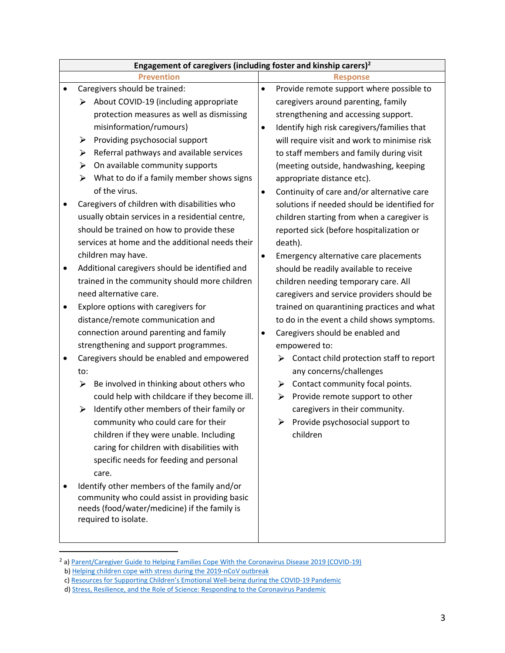|   | Engagement of caregivers (including foster and kinship carers) <sup>2</sup> |                                                          |  |  |  |  |  |  |
|---|-----------------------------------------------------------------------------|----------------------------------------------------------|--|--|--|--|--|--|
|   | <b>Prevention</b>                                                           | <b>Response</b>                                          |  |  |  |  |  |  |
|   | Caregivers should be trained:                                               | Provide remote support where possible to<br>$\bullet$    |  |  |  |  |  |  |
|   | About COVID-19 (including appropriate<br>⋗                                  | caregivers around parenting, family                      |  |  |  |  |  |  |
|   | protection measures as well as dismissing                                   | strengthening and accessing support.                     |  |  |  |  |  |  |
|   | misinformation/rumours)                                                     | Identify high risk caregivers/families that<br>$\bullet$ |  |  |  |  |  |  |
|   | Providing psychosocial support<br>➤                                         | will require visit and work to minimise risk             |  |  |  |  |  |  |
|   | Referral pathways and available services<br>⋗                               | to staff members and family during visit                 |  |  |  |  |  |  |
|   | On available community supports<br>➤                                        | (meeting outside, handwashing, keeping                   |  |  |  |  |  |  |
|   | $\blacktriangleright$<br>What to do if a family member shows signs          | appropriate distance etc).                               |  |  |  |  |  |  |
|   | of the virus.                                                               | Continuity of care and/or alternative care<br>$\bullet$  |  |  |  |  |  |  |
|   | Caregivers of children with disabilities who                                | solutions if needed should be identified for             |  |  |  |  |  |  |
|   | usually obtain services in a residential centre,                            | children starting from when a caregiver is               |  |  |  |  |  |  |
|   | should be trained on how to provide these                                   | reported sick (before hospitalization or                 |  |  |  |  |  |  |
|   | services at home and the additional needs their                             | death).                                                  |  |  |  |  |  |  |
|   | children may have.                                                          | Emergency alternative care placements<br>٠               |  |  |  |  |  |  |
| ٠ | Additional caregivers should be identified and                              | should be readily available to receive                   |  |  |  |  |  |  |
|   | trained in the community should more children                               | children needing temporary care. All                     |  |  |  |  |  |  |
|   | need alternative care.                                                      | caregivers and service providers should be               |  |  |  |  |  |  |
|   | Explore options with caregivers for                                         | trained on quarantining practices and what               |  |  |  |  |  |  |
|   | distance/remote communication and                                           | to do in the event a child shows symptoms.               |  |  |  |  |  |  |
|   | connection around parenting and family                                      | Caregivers should be enabled and<br>$\bullet$            |  |  |  |  |  |  |
|   | strengthening and support programmes.                                       | empowered to:                                            |  |  |  |  |  |  |
|   | Caregivers should be enabled and empowered                                  | Contact child protection staff to report<br>⋗            |  |  |  |  |  |  |
|   | to:                                                                         | any concerns/challenges                                  |  |  |  |  |  |  |
|   | Be involved in thinking about others who<br>➤                               | Contact community focal points.<br>➤                     |  |  |  |  |  |  |
|   | could help with childcare if they become ill.                               | Provide remote support to other<br>⋗                     |  |  |  |  |  |  |
|   | Identify other members of their family or<br>➤                              | caregivers in their community.                           |  |  |  |  |  |  |
|   | community who could care for their                                          | Provide psychosocial support to<br>➤                     |  |  |  |  |  |  |
|   | children if they were unable. Including                                     | children                                                 |  |  |  |  |  |  |
|   | caring for children with disabilities with                                  |                                                          |  |  |  |  |  |  |
|   | specific needs for feeding and personal                                     |                                                          |  |  |  |  |  |  |
|   | care.                                                                       |                                                          |  |  |  |  |  |  |
|   | Identify other members of the family and/or                                 |                                                          |  |  |  |  |  |  |
|   | community who could assist in providing basic                               |                                                          |  |  |  |  |  |  |
|   | needs (food/water/medicine) if the family is                                |                                                          |  |  |  |  |  |  |
|   | required to isolate.                                                        |                                                          |  |  |  |  |  |  |
|   |                                                                             |                                                          |  |  |  |  |  |  |

<sup>&</sup>lt;sup>2</sup> a[\) Parent/Caregiver Guide to Helping Families Cope With the Coronavirus Disease 2019 \(COVID-19\)](https://bettercarenetwork.org/library/particular-threats-to-childrens-care-and-protection/covid-19/child-development-and-covid-19/parentcaregiver-guide-to-helping-families-cope-with-the-coronavirus-disease-2019-covid-19)

b[\) Helping children cope with stress during the 2019-nCoV outbreak](https://bettercarenetwork.org/library/particular-threats-to-childrens-care-and-protection/covid-19/mental-health-and-covid-19/helping-children-cope-with-stress-during-the-2019-ncov-outbreak)

c) [Resources for Supporting Children's Emotional Well](https://bettercarenetwork.org/library/particular-threats-to-childrens-care-and-protection/covid-19/child-development-and-covid-19/resources-for-supporting-children%E2%80%99s-emotional-well-being-during-the-covid-19-pandemic)-being during the COVID-19 Pandemic

d[\) Stress, Resilience, and the Role of Science: Responding to the Coronavirus Pandemic](https://bettercarenetwork.org/library/particular-threats-to-childrens-care-and-protection/covid-19/child-development-and-covid-19/stress-resilience-and-the-role-of-science-responding-to-the-coronavirus-pandemic)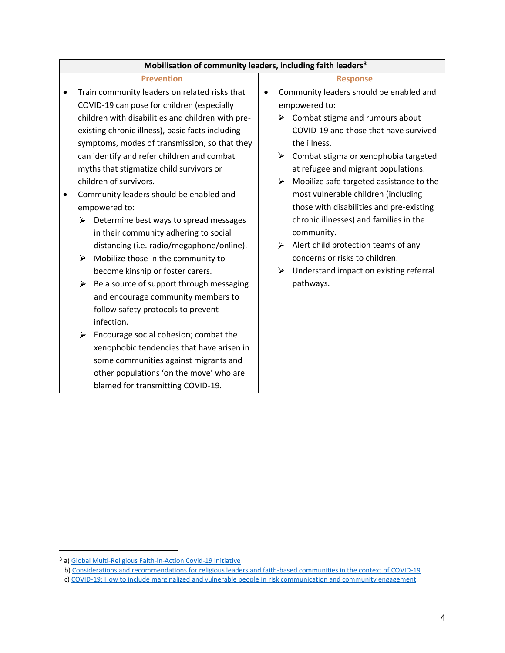| Mobilisation of community leaders, including faith leaders <sup>3</sup> |                                            |                                                   |           |                 |                                                  |  |  |
|-------------------------------------------------------------------------|--------------------------------------------|---------------------------------------------------|-----------|-----------------|--------------------------------------------------|--|--|
|                                                                         | <b>Prevention</b>                          |                                                   |           | <b>Response</b> |                                                  |  |  |
|                                                                         |                                            | Train community leaders on related risks that     | $\bullet$ |                 | Community leaders should be enabled and          |  |  |
|                                                                         |                                            | COVID-19 can pose for children (especially        |           |                 | empowered to:                                    |  |  |
|                                                                         |                                            | children with disabilities and children with pre- |           |                 | $\triangleright$ Combat stigma and rumours about |  |  |
|                                                                         |                                            | existing chronic illness), basic facts including  |           |                 | COVID-19 and those that have survived            |  |  |
|                                                                         |                                            | symptoms, modes of transmission, so that they     |           |                 | the illness.                                     |  |  |
|                                                                         | can identify and refer children and combat |                                                   |           | ⋗               | Combat stigma or xenophobia targeted             |  |  |
|                                                                         | myths that stigmatize child survivors or   |                                                   |           |                 | at refugee and migrant populations.              |  |  |
|                                                                         |                                            | children of survivors.                            |           | ➤               | Mobilize safe targeted assistance to the         |  |  |
| ٠                                                                       |                                            | Community leaders should be enabled and           |           |                 | most vulnerable children (including              |  |  |
|                                                                         |                                            | empowered to:                                     |           |                 | those with disabilities and pre-existing         |  |  |
|                                                                         | ➤                                          | Determine best ways to spread messages            |           |                 | chronic illnesses) and families in the           |  |  |
|                                                                         |                                            | in their community adhering to social             |           |                 | community.                                       |  |  |
|                                                                         |                                            | distancing (i.e. radio/megaphone/online).         |           | ➤               | Alert child protection teams of any              |  |  |
|                                                                         | ➤                                          | Mobilize those in the community to                |           |                 | concerns or risks to children.                   |  |  |
|                                                                         |                                            | become kinship or foster carers.                  |           | ≻               | Understand impact on existing referral           |  |  |
|                                                                         | ➤                                          | Be a source of support through messaging          |           |                 | pathways.                                        |  |  |
|                                                                         |                                            | and encourage community members to                |           |                 |                                                  |  |  |
|                                                                         |                                            | follow safety protocols to prevent                |           |                 |                                                  |  |  |
|                                                                         |                                            | infection.                                        |           |                 |                                                  |  |  |
|                                                                         | ➤                                          | Encourage social cohesion; combat the             |           |                 |                                                  |  |  |
|                                                                         |                                            | xenophobic tendencies that have arisen in         |           |                 |                                                  |  |  |
|                                                                         |                                            | some communities against migrants and             |           |                 |                                                  |  |  |
|                                                                         |                                            | other populations 'on the move' who are           |           |                 |                                                  |  |  |
|                                                                         |                                            | blamed for transmitting COVID-19.                 |           |                 |                                                  |  |  |

<sup>&</sup>lt;sup>3</sup> a[\) Global Multi-Religious Faith-in-Action Covid-19 Initiative](https://www.unicef.org/press-releases/launch-global-multi-religious-faith-action-covid-19-initiative)

b[\) Considerations and recommendations for religious leaders and faith-based communities in the context of COVID-19](https://www.who.int/publications-detail/practical-considerations-and-recommendations-for-religious-leaders-and-faith-based-communities-in-the-context-of-covid-19)

c[\) COVID-19: How to include marginalized and vulnerable people in risk communication and community engagement](https://interagencystandingcommittee.org/covid-19-how-include-marginalized-and-vulnerable-people-risk-communication-and-community-engagement)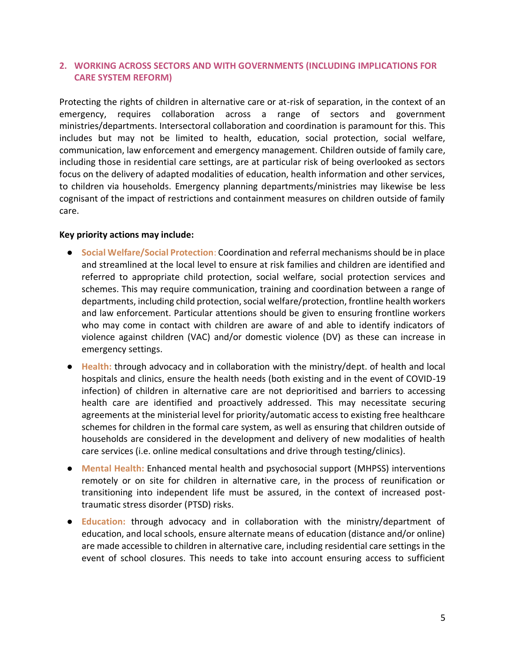## <span id="page-4-0"></span>**2. WORKING ACROSS SECTORS AND WITH GOVERNMENTS (INCLUDING IMPLICATIONS FOR CARE SYSTEM REFORM)**

Protecting the rights of children in alternative care or at-risk of separation, in the context of an emergency, requires collaboration across a range of sectors and government ministries/departments. Intersectoral collaboration and coordination is paramount for this. This includes but may not be limited to health, education, social protection, social welfare, communication, law enforcement and emergency management. Children outside of family care, including those in residential care settings, are at particular risk of being overlooked as sectors focus on the delivery of adapted modalities of education, health information and other services, to children via households. Emergency planning departments/ministries may likewise be less cognisant of the impact of restrictions and containment measures on children outside of family care.

#### **Key priority actions may include:**

- **Social Welfare/Social Protection**: Coordination and referral mechanisms should be in place and streamlined at the local level to ensure at risk families and children are identified and referred to appropriate child protection, social welfare, social protection services and schemes. This may require communication, training and coordination between a range of departments, including child protection, social welfare/protection, frontline health workers and law enforcement. Particular attentions should be given to ensuring frontline workers who may come in contact with children are aware of and able to identify indicators of violence against children (VAC) and/or domestic violence (DV) as these can increase in emergency settings.
- **Health:** through advocacy and in collaboration with the ministry/dept. of health and local hospitals and clinics, ensure the health needs (both existing and in the event of COVID-19 infection) of children in alternative care are not deprioritised and barriers to accessing health care are identified and proactively addressed. This may necessitate securing agreements at the ministerial level for priority/automatic access to existing free healthcare schemes for children in the formal care system, as well as ensuring that children outside of households are considered in the development and delivery of new modalities of health care services (i.e. online medical consultations and drive through testing/clinics).
- **Mental Health:** Enhanced mental health and psychosocial support (MHPSS) interventions remotely or on site for children in alternative care, in the process of reunification or transitioning into independent life must be assured, in the context of increased posttraumatic stress disorder (PTSD) risks.
- **Education:** through advocacy and in collaboration with the ministry/department of education, and local schools, ensure alternate means of education (distance and/or online) are made accessible to children in alternative care, including residential care settings in the event of school closures. This needs to take into account ensuring access to sufficient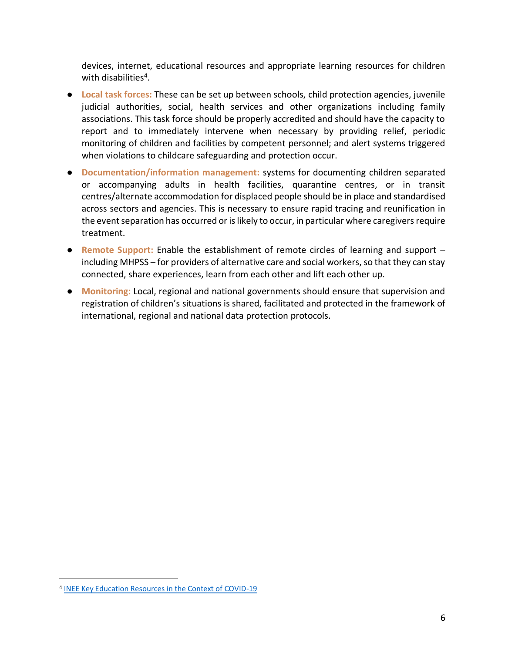devices, internet, educational resources and appropriate learning resources for children with disabilities<sup>4</sup>.

- **Local task forces:** These can be set up between schools, child protection agencies, juvenile judicial authorities, social, health services and other organizations including family associations. This task force should be properly accredited and should have the capacity to report and to immediately intervene when necessary by providing relief, periodic monitoring of children and facilities by competent personnel; and alert systems triggered when violations to childcare safeguarding and protection occur.
- **Documentation/information management:** systems for documenting children separated or accompanying adults in health facilities, quarantine centres, or in transit centres/alternate accommodation for displaced people should be in place and standardised across sectors and agencies. This is necessary to ensure rapid tracing and reunification in the event separation has occurred or is likely to occur, in particular where caregivers require treatment.
- **Remote Support:** Enable the establishment of remote circles of learning and support including MHPSS – for providers of alternative care and social workers, so that they can stay connected, share experiences, learn from each other and lift each other up.
- **Monitoring:** Local, regional and national governments should ensure that supervision and registration of children's situations is shared, facilitated and protected in the framework of international, regional and national data protection protocols.

<sup>4</sup> [INEE Key Education Resources in the Context of COVID-19](https://inee.org/collections/coronavirus-covid-19/key-education-resources)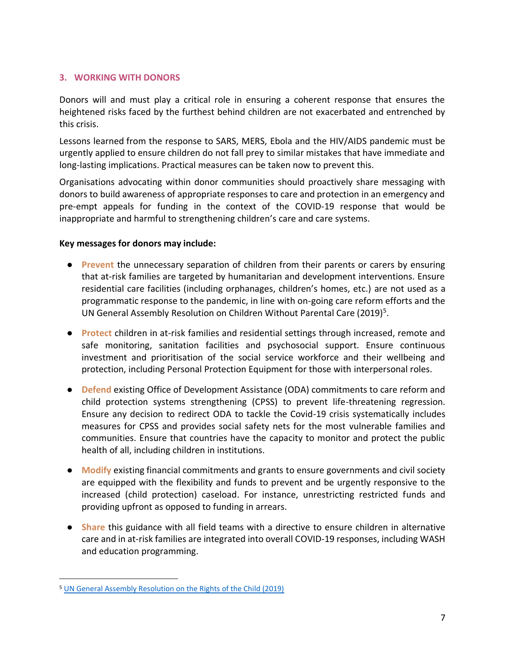### <span id="page-6-0"></span>**3. WORKING WITH DONORS**

Donors will and must play a critical role in ensuring a coherent response that ensures the heightened risks faced by the furthest behind children are not exacerbated and entrenched by this crisis.

Lessons learned from the response to SARS, MERS, Ebola and the HIV/AIDS pandemic must be urgently applied to ensure children do not fall prey to similar mistakes that have immediate and long-lasting implications. Practical measures can be taken now to prevent this.

Organisations advocating within donor communities should proactively share messaging with donors to build awareness of appropriate responses to care and protection in an emergency and pre-empt appeals for funding in the context of the COVID-19 response that would be inappropriate and harmful to strengthening children's care and care systems.

#### **Key messages for donors may include:**

- **Prevent** the unnecessary separation of children from their parents or carers by ensuring that at-risk families are targeted by humanitarian and development interventions. Ensure residential care facilities (including orphanages, children's homes, etc.) are not used as a programmatic response to the pandemic, in line with on-going care reform efforts and the UN General Assembly Resolution on Children Without Parental Care (2019)<sup>5</sup>.
- **Protect** children in at-risk families and residential settings through increased, remote and safe monitoring, sanitation facilities and psychosocial support. Ensure continuous investment and prioritisation of the social service workforce and their wellbeing and protection, including Personal Protection Equipment for those with interpersonal roles.
- **Defend** existing Office of Development Assistance (ODA) commitments to care reform and child protection systems strengthening (CPSS) to prevent life-threatening regression. Ensure any decision to redirect ODA to tackle the Covid-19 crisis systematically includes measures for CPSS and provides social safety nets for the most vulnerable families and communities. Ensure that countries have the capacity to monitor and protect the public health of all, including children in institutions.
- **Modify** existing financial commitments and grants to ensure governments and civil society are equipped with the flexibility and funds to prevent and be urgently responsive to the increased (child protection) caseload. For instance, unrestricting restricted funds and providing upfront as opposed to funding in arrears.
- **Share** this guidance with all field teams with a directive to ensure children in alternative care and in at-risk families are integrated into overall COVID-19 responses, including WASH and education programming.

<sup>5</sup> [UN General Assembly Resolution on the Rights of the Child \(2019\)](https://bettercarenetwork.org/library/social-welfare-systems/child-care-and-protection-policies/2019-unga-resolution-on-the-rights-of-the-child)